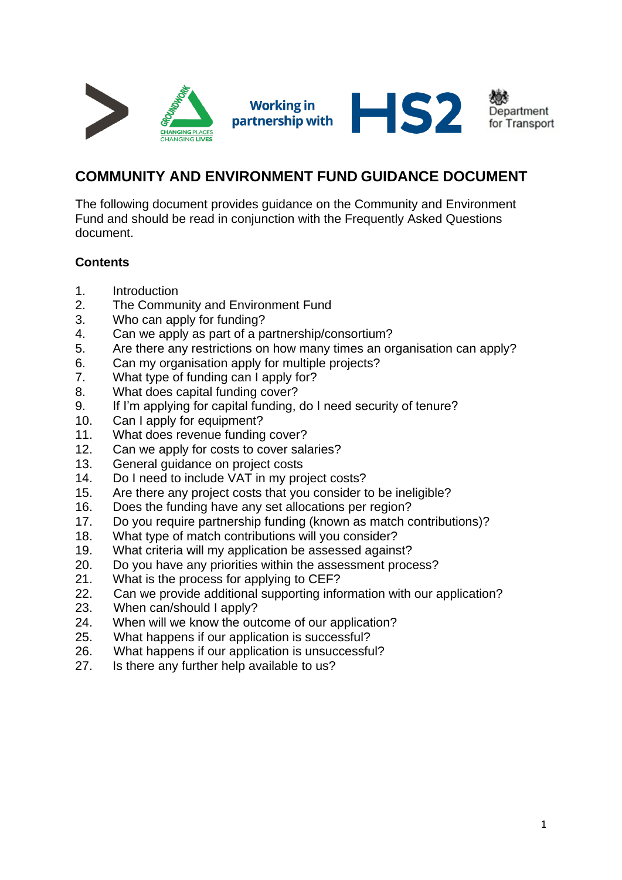

# **COMMUNITY AND ENVIRONMENT FUND GUIDANCE DOCUMENT**

The following document provides guidance on the Community and Environment Fund and should be read in conjunction with the Frequently Asked Questions document.

# **Contents**

- 1. Introduction
- 2. The Community and Environment Fund
- 3. Who can apply for funding?
- 4. Can we apply as part of a partnership/consortium?
- 5. Are there any restrictions on how many times an organisation can apply?
- 6. Can my organisation apply for multiple projects?
- 7. What type of funding can I apply for?
- 8. What does capital funding cover?
- 9. If I'm applying for capital funding, do I need security of tenure?
- 10. Can I apply for equipment?
- 11. What does revenue funding cover?
- 12. Can we apply for costs to cover salaries?
- 13. General guidance on project costs
- 14. Do I need to include VAT in my project costs?
- 15. Are there any project costs that you consider to be ineligible?
- 16. Does the funding have any set allocations per region?
- 17. Do you require partnership funding (known as match contributions)?
- 18. What type of match contributions will you consider?
- 19. What criteria will my application be assessed against?
- 20. Do you have any priorities within the assessment process?
- 21. What is the process for applying to CEF?
- 22. Can we provide additional supporting information with our application?
- 23. When can/should I apply?
- 24. When will we know the outcome of our application?
- 25. What happens if our application is successful?
- 26. What happens if our application is unsuccessful?
- 27. Is there any further help available to us?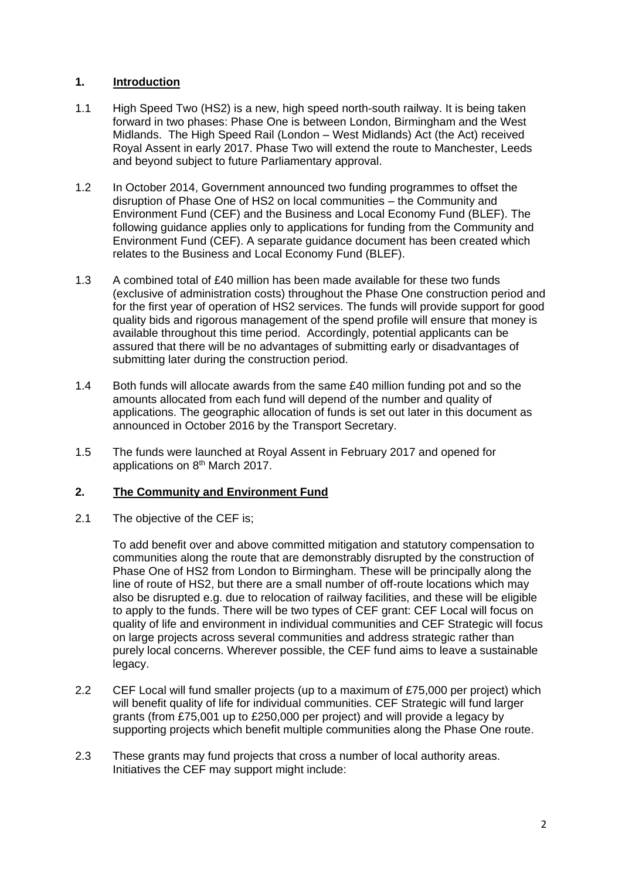# **1. Introduction**

- 1.1 High Speed Two (HS2) is a new, high speed north-south railway. It is being taken forward in two phases: Phase One is between London, Birmingham and the West Midlands. The High Speed Rail (London – West Midlands) Act (the Act) received Royal Assent in early 2017. Phase Two will extend the route to Manchester, Leeds and beyond subject to future Parliamentary approval.
- 1.2 In October 2014, Government announced two funding programmes to offset the disruption of Phase One of HS2 on local communities – the Community and Environment Fund (CEF) and the Business and Local Economy Fund (BLEF). The following guidance applies only to applications for funding from the Community and Environment Fund (CEF). A separate guidance document has been created which relates to the Business and Local Economy Fund (BLEF).
- 1.3 A combined total of £40 million has been made available for these two funds (exclusive of administration costs) throughout the Phase One construction period and for the first year of operation of HS2 services. The funds will provide support for good quality bids and rigorous management of the spend profile will ensure that money is available throughout this time period. Accordingly, potential applicants can be assured that there will be no advantages of submitting early or disadvantages of submitting later during the construction period.
- 1.4 Both funds will allocate awards from the same £40 million funding pot and so the amounts allocated from each fund will depend of the number and quality of applications. The geographic allocation of funds is set out later in this document as announced in October 2016 by the Transport Secretary.
- 1.5 The funds were launched at Royal Assent in February 2017 and opened for applications on 8th March 2017.

# **2. The Community and Environment Fund**

2.1 The objective of the CEF is;

To add benefit over and above committed mitigation and statutory compensation to communities along the route that are demonstrably disrupted by the construction of Phase One of HS2 from London to Birmingham. These will be principally along the line of route of HS2, but there are a small number of off-route locations which may also be disrupted e.g. due to relocation of railway facilities, and these will be eligible to apply to the funds. There will be two types of CEF grant: CEF Local will focus on quality of life and environment in individual communities and CEF Strategic will focus on large projects across several communities and address strategic rather than purely local concerns. Wherever possible, the CEF fund aims to leave a sustainable legacy.

- 2.2 CEF Local will fund smaller projects (up to a maximum of £75,000 per project) which will benefit quality of life for individual communities. CEF Strategic will fund larger grants (from £75,001 up to £250,000 per project) and will provide a legacy by supporting projects which benefit multiple communities along the Phase One route.
- 2.3 These grants may fund projects that cross a number of local authority areas. Initiatives the CEF may support might include: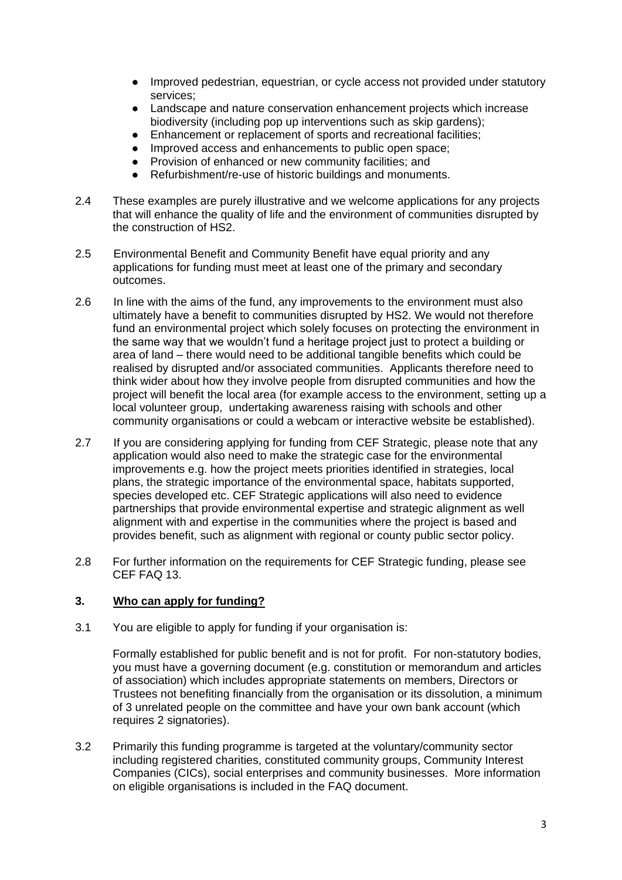- Improved pedestrian, equestrian, or cycle access not provided under statutory services;
- Landscape and nature conservation enhancement projects which increase biodiversity (including pop up interventions such as skip gardens);
- Enhancement or replacement of sports and recreational facilities;
- Improved access and enhancements to public open space;
- Provision of enhanced or new community facilities; and
- Refurbishment/re-use of historic buildings and monuments.
- 2.4 These examples are purely illustrative and we welcome applications for any projects that will enhance the quality of life and the environment of communities disrupted by the construction of HS2.
- 2.5 Environmental Benefit and Community Benefit have equal priority and any applications for funding must meet at least one of the primary and secondary outcomes.
- 2.6 In line with the aims of the fund, any improvements to the environment must also ultimately have a benefit to communities disrupted by HS2. We would not therefore fund an environmental project which solely focuses on protecting the environment in the same way that we wouldn't fund a heritage project just to protect a building or area of land – there would need to be additional tangible benefits which could be realised by disrupted and/or associated communities. Applicants therefore need to think wider about how they involve people from disrupted communities and how the project will benefit the local area (for example access to the environment, setting up a local volunteer group, undertaking awareness raising with schools and other community organisations or could a webcam or interactive website be established).
- 2.7 If you are considering applying for funding from CEF Strategic, please note that any application would also need to make the strategic case for the environmental improvements e.g. how the project meets priorities identified in strategies, local plans, the strategic importance of the environmental space, habitats supported, species developed etc. CEF Strategic applications will also need to evidence partnerships that provide environmental expertise and strategic alignment as well alignment with and expertise in the communities where the project is based and provides benefit, such as alignment with regional or county public sector policy.
- 2.8 For further information on the requirements for CEF Strategic funding, please see CEF FAQ 13.

### **3. Who can apply for funding?**

3.1 You are eligible to apply for funding if your organisation is:

Formally established for public benefit and is not for profit. For non-statutory bodies, you must have a governing document (e.g. constitution or memorandum and articles of association) which includes appropriate statements on members, Directors or Trustees not benefiting financially from the organisation or its dissolution, a minimum of 3 unrelated people on the committee and have your own bank account (which requires 2 signatories).

3.2 Primarily this funding programme is targeted at the voluntary/community sector including registered charities, constituted community groups, Community Interest Companies (CICs), social enterprises and community businesses. More information on eligible organisations is included in the FAQ document.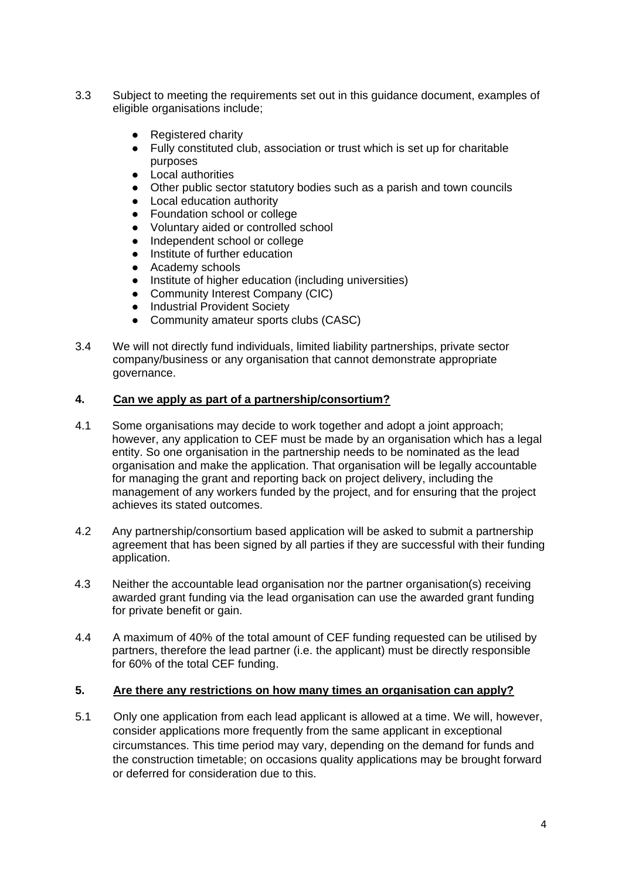- 3.3 Subject to meeting the requirements set out in this guidance document, examples of eligible organisations include;
	- Registered charity
	- Fully constituted club, association or trust which is set up for charitable purposes
	- Local authorities
	- Other public sector statutory bodies such as a parish and town councils
	- Local education authority
	- Foundation school or college
	- Voluntary aided or controlled school
	- Independent school or college
	- Institute of further education
	- Academy schools
	- Institute of higher education (including universities)
	- Community Interest Company (CIC)
	- Industrial Provident Society
	- Community amateur sports clubs (CASC)
- 3.4 We will not directly fund individuals, limited liability partnerships, private sector company/business or any organisation that cannot demonstrate appropriate governance.

### **4. Can we apply as part of a partnership/consortium?**

- 4.1 Some organisations may decide to work together and adopt a joint approach; however, any application to CEF must be made by an organisation which has a legal entity. So one organisation in the partnership needs to be nominated as the lead organisation and make the application. That organisation will be legally accountable for managing the grant and reporting back on project delivery, including the management of any workers funded by the project, and for ensuring that the project achieves its stated outcomes.
- 4.2 Any partnership/consortium based application will be asked to submit a partnership agreement that has been signed by all parties if they are successful with their funding application.
- 4.3 Neither the accountable lead organisation nor the partner organisation(s) receiving awarded grant funding via the lead organisation can use the awarded grant funding for private benefit or gain.
- 4.4 A maximum of 40% of the total amount of CEF funding requested can be utilised by partners, therefore the lead partner (i.e. the applicant) must be directly responsible for 60% of the total CEF funding.

### **5. Are there any restrictions on how many times an organisation can apply?**

5.1 Only one application from each lead applicant is allowed at a time. We will, however, consider applications more frequently from the same applicant in exceptional circumstances. This time period may vary, depending on the demand for funds and the construction timetable; on occasions quality applications may be brought forward or deferred for consideration due to this.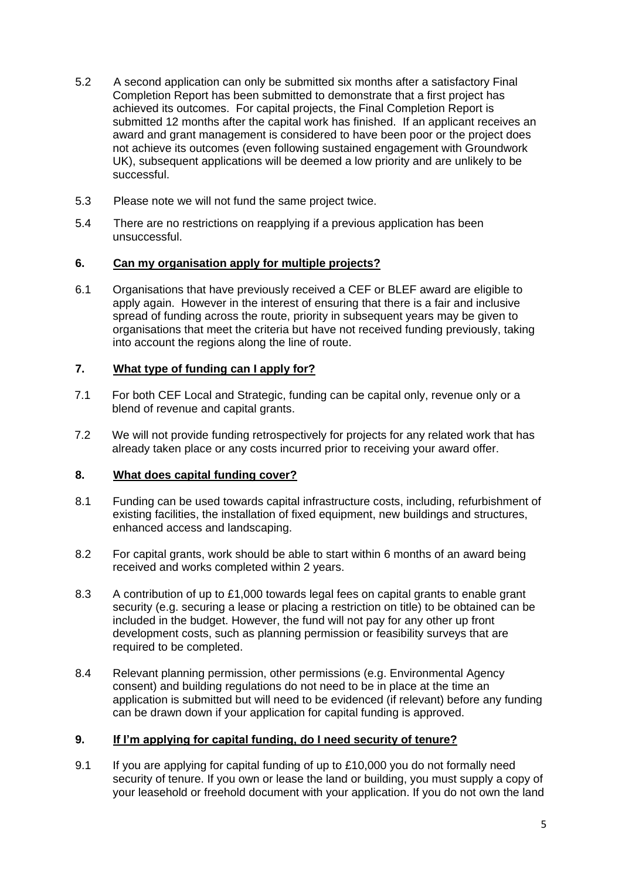- 5.2 A second application can only be submitted six months after a satisfactory Final Completion Report has been submitted to demonstrate that a first project has achieved its outcomes. For capital projects, the Final Completion Report is submitted 12 months after the capital work has finished. If an applicant receives an award and grant management is considered to have been poor or the project does not achieve its outcomes (even following sustained engagement with Groundwork UK), subsequent applications will be deemed a low priority and are unlikely to be successful.
- 5.3 Please note we will not fund the same project twice.
- 5.4 There are no restrictions on reapplying if a previous application has been unsuccessful.

# **6. Can my organisation apply for multiple projects?**

6.1 Organisations that have previously received a CEF or BLEF award are eligible to apply again. However in the interest of ensuring that there is a fair and inclusive spread of funding across the route, priority in subsequent years may be given to organisations that meet the criteria but have not received funding previously, taking into account the regions along the line of route.

# **7. What type of funding can I apply for?**

- 7.1 For both CEF Local and Strategic, funding can be capital only, revenue only or a blend of revenue and capital grants.
- 7.2 We will not provide funding retrospectively for projects for any related work that has already taken place or any costs incurred prior to receiving your award offer.

# **8. What does capital funding cover?**

- 8.1 Funding can be used towards capital infrastructure costs, including, refurbishment of existing facilities, the installation of fixed equipment, new buildings and structures, enhanced access and landscaping.
- 8.2 For capital grants, work should be able to start within 6 months of an award being received and works completed within 2 years.
- 8.3 A contribution of up to £1,000 towards legal fees on capital grants to enable grant security (e.g. securing a lease or placing a restriction on title) to be obtained can be included in the budget. However, the fund will not pay for any other up front development costs, such as planning permission or feasibility surveys that are required to be completed.
- 8.4 Relevant planning permission, other permissions (e.g. Environmental Agency consent) and building regulations do not need to be in place at the time an application is submitted but will need to be evidenced (if relevant) before any funding can be drawn down if your application for capital funding is approved.

### **9. If I'm applying for capital funding, do I need security of tenure?**

9.1 If you are applying for capital funding of up to £10,000 you do not formally need security of tenure. If you own or lease the land or building, you must supply a copy of your leasehold or freehold document with your application. If you do not own the land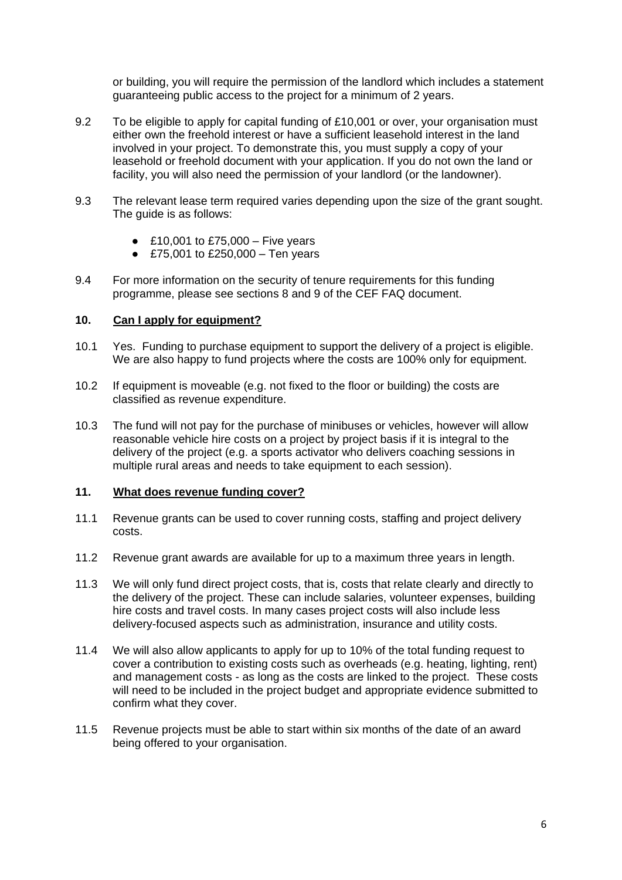or building, you will require the permission of the landlord which includes a statement guaranteeing public access to the project for a minimum of 2 years.

- 9.2 To be eligible to apply for capital funding of £10,001 or over, your organisation must either own the freehold interest or have a sufficient leasehold interest in the land involved in your project. To demonstrate this, you must supply a copy of your leasehold or freehold document with your application. If you do not own the land or facility, you will also need the permission of your landlord (or the landowner).
- 9.3 The relevant lease term required varies depending upon the size of the grant sought. The quide is as follows:
	- £10,001 to £75,000 Five years
	- £75,001 to £250,000 Ten years
- 9.4 For more information on the security of tenure requirements for this funding programme, please see sections 8 and 9 of the CEF FAQ document.

#### **10. Can I apply for equipment?**

- 10.1 Yes. Funding to purchase equipment to support the delivery of a project is eligible. We are also happy to fund projects where the costs are 100% only for equipment.
- 10.2 If equipment is moveable (e.g. not fixed to the floor or building) the costs are classified as revenue expenditure.
- 10.3 The fund will not pay for the purchase of minibuses or vehicles, however will allow reasonable vehicle hire costs on a project by project basis if it is integral to the delivery of the project (e.g. a sports activator who delivers coaching sessions in multiple rural areas and needs to take equipment to each session).

#### **11. What does revenue funding cover?**

- 11.1 Revenue grants can be used to cover running costs, staffing and project delivery costs.
- 11.2 Revenue grant awards are available for up to a maximum three years in length.
- 11.3 We will only fund direct project costs, that is, costs that relate clearly and directly to the delivery of the project. These can include salaries, volunteer expenses, building hire costs and travel costs. In many cases project costs will also include less delivery-focused aspects such as administration, insurance and utility costs.
- 11.4 We will also allow applicants to apply for up to 10% of the total funding request to cover a contribution to existing costs such as overheads (e.g. heating, lighting, rent) and management costs - as long as the costs are linked to the project. These costs will need to be included in the project budget and appropriate evidence submitted to confirm what they cover.
- 11.5 Revenue projects must be able to start within six months of the date of an award being offered to your organisation.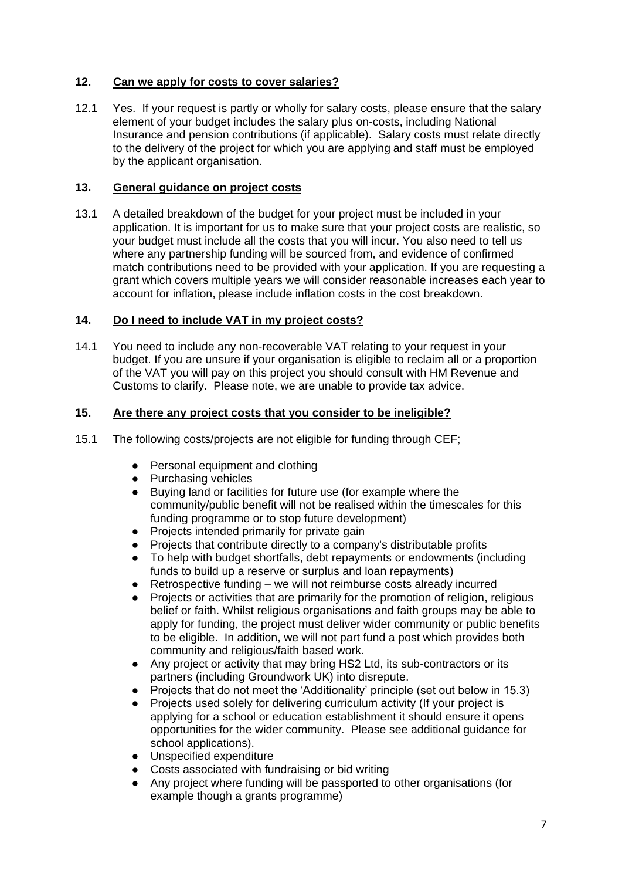# **12. Can we apply for costs to cover salaries?**

12.1 Yes. If your request is partly or wholly for salary costs, please ensure that the salary element of your budget includes the salary plus on-costs, including National Insurance and pension contributions (if applicable). Salary costs must relate directly to the delivery of the project for which you are applying and staff must be employed by the applicant organisation.

# **13. General guidance on project costs**

13.1 A detailed breakdown of the budget for your project must be included in your application. It is important for us to make sure that your project costs are realistic, so your budget must include all the costs that you will incur. You also need to tell us where any partnership funding will be sourced from, and evidence of confirmed match contributions need to be provided with your application. If you are requesting a grant which covers multiple years we will consider reasonable increases each year to account for inflation, please include inflation costs in the cost breakdown.

# **14. Do I need to include VAT in my project costs?**

14.1 You need to include any non-recoverable VAT relating to your request in your budget. If you are unsure if your organisation is eligible to reclaim all or a proportion of the VAT you will pay on this project you should consult with HM Revenue and Customs to clarify. Please note, we are unable to provide tax advice.

# **15. Are there any project costs that you consider to be ineligible?**

- 15.1 The following costs/projects are not eligible for funding through CEF;
	- Personal equipment and clothing
	- Purchasing vehicles
	- Buying land or facilities for future use (for example where the community/public benefit will not be realised within the timescales for this funding programme or to stop future development)
	- Projects intended primarily for private gain
	- Projects that contribute directly to a company's distributable profits
	- To help with budget shortfalls, debt repayments or endowments (including funds to build up a reserve or surplus and loan repayments)
	- Retrospective funding we will not reimburse costs already incurred
	- Projects or activities that are primarily for the promotion of religion, religious belief or faith. Whilst religious organisations and faith groups may be able to apply for funding, the project must deliver wider community or public benefits to be eligible. In addition, we will not part fund a post which provides both community and religious/faith based work.
	- Any project or activity that may bring HS2 Ltd, its sub-contractors or its partners (including Groundwork UK) into disrepute.
	- Projects that do not meet the 'Additionality' principle (set out below in 15.3)
	- Projects used solely for delivering curriculum activity (If your project is applying for a school or education establishment it should ensure it opens opportunities for the wider community. Please see additional guidance for school applications).
	- Unspecified expenditure
	- Costs associated with fundraising or bid writing
	- Any project where funding will be passported to other organisations (for example though a grants programme)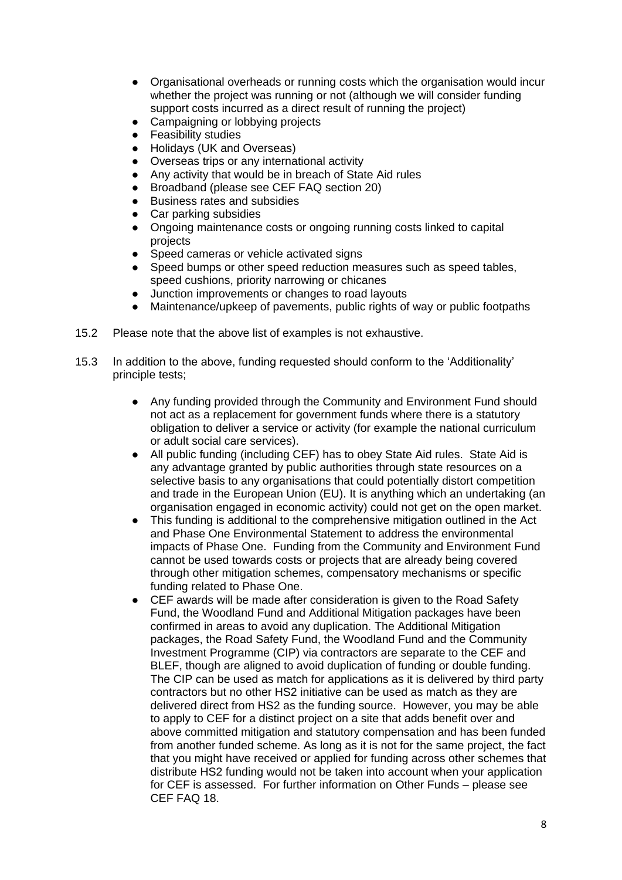- Organisational overheads or running costs which the organisation would incur whether the project was running or not (although we will consider funding support costs incurred as a direct result of running the project)
- Campaigning or lobbying projects
- **Feasibility studies**
- Holidays (UK and Overseas)
- Overseas trips or any international activity
- Any activity that would be in breach of State Aid rules
- Broadband (please see CEF FAQ section 20)
- Business rates and subsidies
- Car parking subsidies
- Ongoing maintenance costs or ongoing running costs linked to capital projects
- Speed cameras or vehicle activated signs
- Speed bumps or other speed reduction measures such as speed tables, speed cushions, priority narrowing or chicanes
- Junction improvements or changes to road layouts
- Maintenance/upkeep of pavements, public rights of way or public footpaths
- 15.2 Please note that the above list of examples is not exhaustive.
- 15.3 In addition to the above, funding requested should conform to the 'Additionality' principle tests;
	- Any funding provided through the Community and Environment Fund should not act as a replacement for government funds where there is a statutory obligation to deliver a service or activity (for example the national curriculum or adult social care services).
	- All public funding (including CEF) has to obey State Aid rules. State Aid is any advantage granted by public authorities through state resources on a selective basis to any organisations that could potentially distort competition and trade in the European Union (EU). It is anything which an undertaking (an organisation engaged in economic activity) could not get on the open market.
	- This funding is additional to the comprehensive mitigation outlined in the Act and Phase One Environmental Statement to address the environmental impacts of Phase One. Funding from the Community and Environment Fund cannot be used towards costs or projects that are already being covered through other mitigation schemes, compensatory mechanisms or specific funding related to Phase One.
	- CEF awards will be made after consideration is given to the Road Safety Fund, the Woodland Fund and Additional Mitigation packages have been confirmed in areas to avoid any duplication. The Additional Mitigation packages, the Road Safety Fund, the Woodland Fund and the Community Investment Programme (CIP) via contractors are separate to the CEF and BLEF, though are aligned to avoid duplication of funding or double funding. The CIP can be used as match for applications as it is delivered by third party contractors but no other HS2 initiative can be used as match as they are delivered direct from HS2 as the funding source. However, you may be able to apply to CEF for a distinct project on a site that adds benefit over and above committed mitigation and statutory compensation and has been funded from another funded scheme. As long as it is not for the same project, the fact that you might have received or applied for funding across other schemes that distribute HS2 funding would not be taken into account when your application for CEF is assessed. For further information on Other Funds – please see CEF FAQ 18.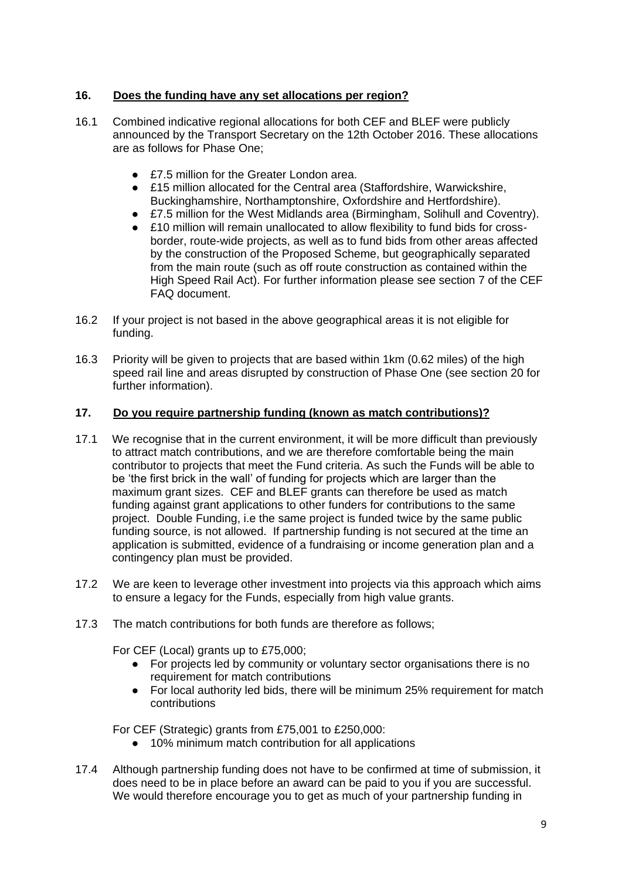# **16. Does the funding have any set allocations per region?**

- 16.1 Combined indicative regional allocations for both CEF and BLEF were publicly announced by the Transport Secretary on the 12th October 2016. These allocations are as follows for Phase One;
	- £7.5 million for the Greater London area.
	- £15 million allocated for the Central area (Staffordshire, Warwickshire, Buckinghamshire, Northamptonshire, Oxfordshire and Hertfordshire).
	- £7.5 million for the West Midlands area (Birmingham, Solihull and Coventry).
	- £10 million will remain unallocated to allow flexibility to fund bids for crossborder, route-wide projects, as well as to fund bids from other areas affected by the construction of the Proposed Scheme, but geographically separated from the main route (such as off route construction as contained within the High Speed Rail Act). For further information please see section 7 of the CEF FAQ document.
- 16.2 If your project is not based in the above geographical areas it is not eligible for funding.
- 16.3 Priority will be given to projects that are based within 1km (0.62 miles) of the high speed rail line and areas disrupted by construction of Phase One (see section 20 for further information).

# **17. Do you require partnership funding (known as match contributions)?**

- 17.1 We recognise that in the current environment, it will be more difficult than previously to attract match contributions, and we are therefore comfortable being the main contributor to projects that meet the Fund criteria. As such the Funds will be able to be 'the first brick in the wall' of funding for projects which are larger than the maximum grant sizes. CEF and BLEF grants can therefore be used as match funding against grant applications to other funders for contributions to the same project. Double Funding, i.e the same project is funded twice by the same public funding source, is not allowed. If partnership funding is not secured at the time an application is submitted, evidence of a fundraising or income generation plan and a contingency plan must be provided.
- 17.2 We are keen to leverage other investment into projects via this approach which aims to ensure a legacy for the Funds, especially from high value grants.
- 17.3 The match contributions for both funds are therefore as follows;

For CEF (Local) grants up to £75,000;

- For projects led by community or voluntary sector organisations there is no requirement for match contributions
- For local authority led bids, there will be minimum 25% requirement for match contributions

For CEF (Strategic) grants from £75,001 to £250,000:

- 10% minimum match contribution for all applications
- 17.4 Although partnership funding does not have to be confirmed at time of submission, it does need to be in place before an award can be paid to you if you are successful. We would therefore encourage you to get as much of your partnership funding in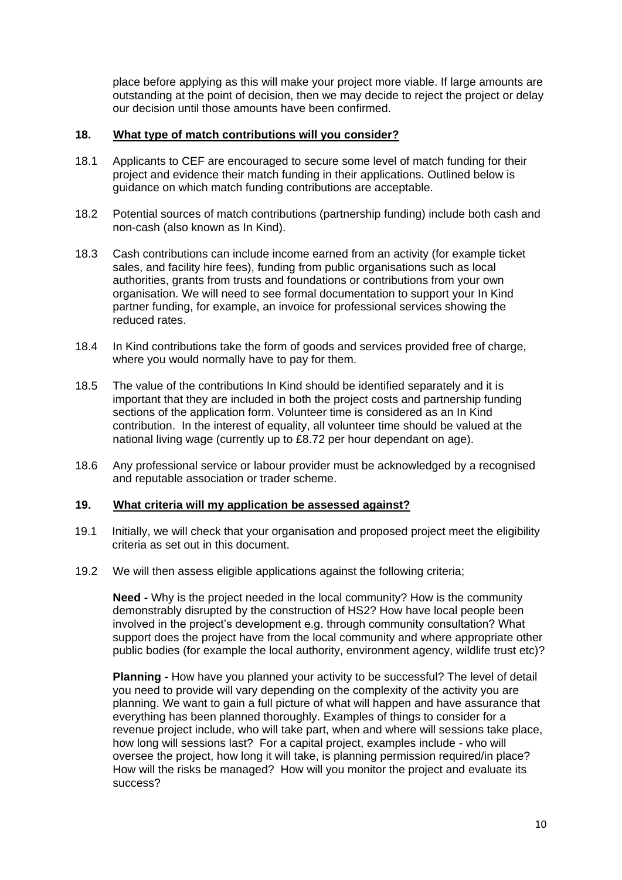place before applying as this will make your project more viable. If large amounts are outstanding at the point of decision, then we may decide to reject the project or delay our decision until those amounts have been confirmed.

# **18. What type of match contributions will you consider?**

- 18.1 Applicants to CEF are encouraged to secure some level of match funding for their project and evidence their match funding in their applications. Outlined below is guidance on which match funding contributions are acceptable.
- 18.2 Potential sources of match contributions (partnership funding) include both cash and non-cash (also known as In Kind).
- 18.3 Cash contributions can include income earned from an activity (for example ticket sales, and facility hire fees), funding from public organisations such as local authorities, grants from trusts and foundations or contributions from your own organisation. We will need to see formal documentation to support your In Kind partner funding, for example, an invoice for professional services showing the reduced rates.
- 18.4 In Kind contributions take the form of goods and services provided free of charge, where you would normally have to pay for them.
- 18.5 The value of the contributions In Kind should be identified separately and it is important that they are included in both the project costs and partnership funding sections of the application form. Volunteer time is considered as an In Kind contribution. In the interest of equality, all volunteer time should be valued at the national living wage (currently up to £8.72 per hour dependant on age).
- 18.6 Any professional service or labour provider must be acknowledged by a recognised and reputable association or trader scheme.

#### **19. What criteria will my application be assessed against?**

- 19.1 Initially, we will check that your organisation and proposed project meet the eligibility criteria as set out in this document.
- 19.2 We will then assess eligible applications against the following criteria;

**Need -** Why is the project needed in the local community? How is the community demonstrably disrupted by the construction of HS2? How have local people been involved in the project's development e.g. through community consultation? What support does the project have from the local community and where appropriate other public bodies (for example the local authority, environment agency, wildlife trust etc)?

**Planning -** How have you planned your activity to be successful? The level of detail you need to provide will vary depending on the complexity of the activity you are planning. We want to gain a full picture of what will happen and have assurance that everything has been planned thoroughly. Examples of things to consider for a revenue project include, who will take part, when and where will sessions take place, how long will sessions last? For a capital project, examples include - who will oversee the project, how long it will take, is planning permission required/in place? How will the risks be managed? How will you monitor the project and evaluate its success?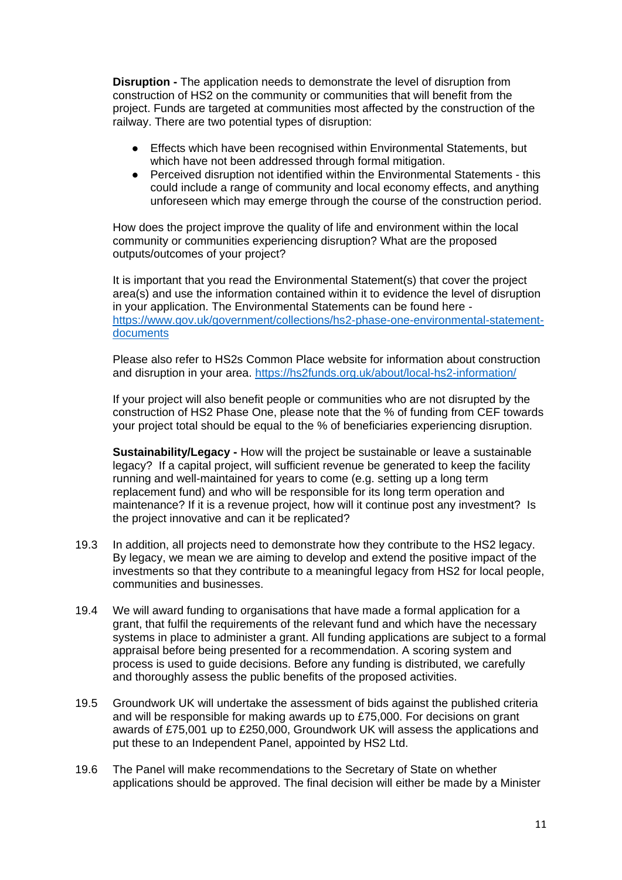**Disruption -** The application needs to demonstrate the level of disruption from construction of HS2 on the community or communities that will benefit from the project. Funds are targeted at communities most affected by the construction of the railway. There are two potential types of disruption:

- Effects which have been recognised within Environmental Statements, but which have not been addressed through formal mitigation.
- Perceived disruption not identified within the Environmental Statements this could include a range of community and local economy effects, and anything unforeseen which may emerge through the course of the construction period.

How does the project improve the quality of life and environment within the local community or communities experiencing disruption? What are the proposed outputs/outcomes of your project?

It is important that you read the Environmental Statement(s) that cover the project area(s) and use the information contained within it to evidence the level of disruption in your application. The Environmental Statements can be found here [https://www.gov.uk/government/collections/hs2-phase-one-environmental-statement](https://www.gov.uk/government/collections/hs2-phase-one-environmental-statement-documents)[documents](https://www.gov.uk/government/collections/hs2-phase-one-environmental-statement-documents)

Please also refer to HS2s Common Place website for information about construction and disruption in your area.<https://hs2funds.org.uk/about/local-hs2-information/>

If your project will also benefit people or communities who are not disrupted by the construction of HS2 Phase One, please note that the % of funding from CEF towards your project total should be equal to the % of beneficiaries experiencing disruption.

**Sustainability/Legacy -** How will the project be sustainable or leave a sustainable legacy? If a capital project, will sufficient revenue be generated to keep the facility running and well-maintained for years to come (e.g. setting up a long term replacement fund) and who will be responsible for its long term operation and maintenance? If it is a revenue project, how will it continue post any investment? Is the project innovative and can it be replicated?

- 19.3 In addition, all projects need to demonstrate how they contribute to the HS2 legacy. By legacy, we mean we are aiming to develop and extend the positive impact of the investments so that they contribute to a meaningful legacy from HS2 for local people, communities and businesses.
- 19.4 We will award funding to organisations that have made a formal application for a grant, that fulfil the requirements of the relevant fund and which have the necessary systems in place to administer a grant. All funding applications are subject to a formal appraisal before being presented for a recommendation. A scoring system and process is used to guide decisions. Before any funding is distributed, we carefully and thoroughly assess the public benefits of the proposed activities.
- 19.5 Groundwork UK will undertake the assessment of bids against the published criteria and will be responsible for making awards up to £75,000. For decisions on grant awards of £75,001 up to £250,000, Groundwork UK will assess the applications and put these to an Independent Panel, appointed by HS2 Ltd.
- 19.6 The Panel will make recommendations to the Secretary of State on whether applications should be approved. The final decision will either be made by a Minister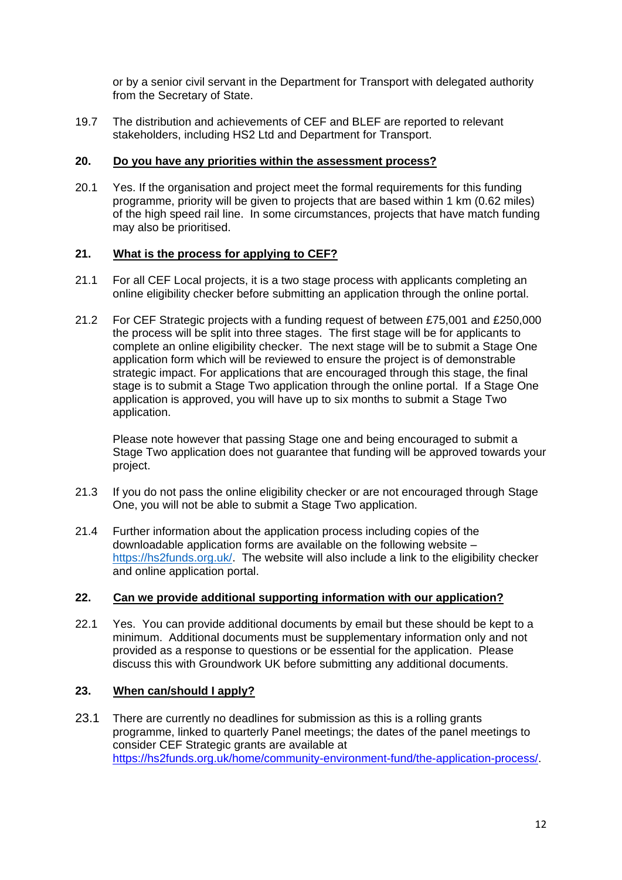or by a senior civil servant in the Department for Transport with delegated authority from the Secretary of State.

19.7 The distribution and achievements of CEF and BLEF are reported to relevant stakeholders, including HS2 Ltd and Department for Transport.

#### **20. Do you have any priorities within the assessment process?**

20.1 Yes. If the organisation and project meet the formal requirements for this funding programme, priority will be given to projects that are based within 1 km (0.62 miles) of the high speed rail line. In some circumstances, projects that have match funding may also be prioritised.

### **21. What is the process for applying to CEF?**

- 21.1 For all CEF Local projects, it is a two stage process with applicants completing an online eligibility checker before submitting an application through the online portal.
- 21.2 For CEF Strategic projects with a funding request of between £75,001 and £250,000 the process will be split into three stages. The first stage will be for applicants to complete an online eligibility checker. The next stage will be to submit a Stage One application form which will be reviewed to ensure the project is of demonstrable strategic impact. For applications that are encouraged through this stage, the final stage is to submit a Stage Two application through the online portal. If a Stage One application is approved, you will have up to six months to submit a Stage Two application.

Please note however that passing Stage one and being encouraged to submit a Stage Two application does not guarantee that funding will be approved towards your project.

- 21.3 If you do not pass the online eligibility checker or are not encouraged through Stage One, you will not be able to submit a Stage Two application.
- 21.4 Further information about the application process including copies of the downloadable application forms are available on the following website – [https://hs2funds.org.uk/.](https://hs2funds.org.uk/) The website will also include a link to the eligibility checker and online application portal.

#### **22. Can we provide additional supporting information with our application?**

22.1 Yes. You can provide additional documents by email but these should be kept to a minimum. Additional documents must be supplementary information only and not provided as a response to questions or be essential for the application. Please discuss this with Groundwork UK before submitting any additional documents.

### **23. When can/should I apply?**

23.1 There are currently no deadlines for submission as this is a rolling grants programme, linked to quarterly Panel meetings; the dates of the panel meetings to consider CEF Strategic grants are available at <https://hs2funds.org.uk/home/community-environment-fund/the-application-process/>.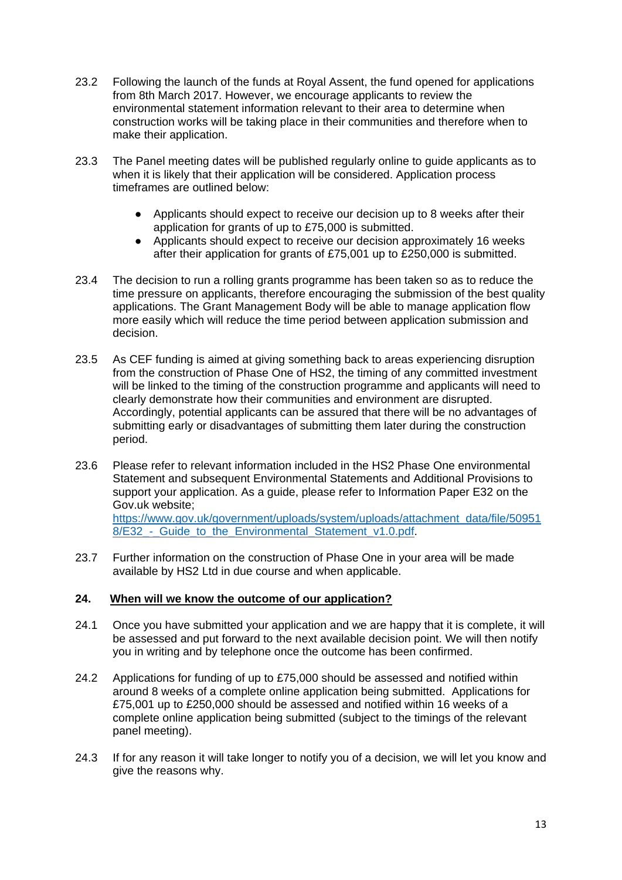- 23.2 Following the launch of the funds at Royal Assent, the fund opened for applications from 8th March 2017. However, we encourage applicants to review the environmental statement information relevant to their area to determine when construction works will be taking place in their communities and therefore when to make their application.
- 23.3 The Panel meeting dates will be published regularly online to guide applicants as to when it is likely that their application will be considered. Application process timeframes are outlined below:
	- Applicants should expect to receive our decision up to 8 weeks after their application for grants of up to £75,000 is submitted.
	- Applicants should expect to receive our decision approximately 16 weeks after their application for grants of £75,001 up to £250,000 is submitted.
- 23.4 The decision to run a rolling grants programme has been taken so as to reduce the time pressure on applicants, therefore encouraging the submission of the best quality applications. The Grant Management Body will be able to manage application flow more easily which will reduce the time period between application submission and decision.
- 23.5 As CEF funding is aimed at giving something back to areas experiencing disruption from the construction of Phase One of HS2, the timing of any committed investment will be linked to the timing of the construction programme and applicants will need to clearly demonstrate how their communities and environment are disrupted. Accordingly, potential applicants can be assured that there will be no advantages of submitting early or disadvantages of submitting them later during the construction period.
- 23.6 Please refer to relevant information included in the HS2 Phase One environmental Statement and subsequent Environmental Statements and Additional Provisions to support your application. As a guide, please refer to Information Paper E32 on the Gov.uk website;

[https://www.gov.uk/government/uploads/system/uploads/attachment\\_data/file/50951](https://www.gov.uk/government/uploads/system/uploads/attachment_data/file/509518/E32_-_Guide_to_the_Environmental_Statement_v1.0.pdf) 8/E32 - Guide to the Environmental Statement v1.0.pdf.

23.7 Further information on the construction of Phase One in your area will be made available by HS2 Ltd in due course and when applicable.

### **24. When will we know the outcome of our application?**

- 24.1 Once you have submitted your application and we are happy that it is complete, it will be assessed and put forward to the next available decision point. We will then notify you in writing and by telephone once the outcome has been confirmed.
- 24.2 Applications for funding of up to £75,000 should be assessed and notified within around 8 weeks of a complete online application being submitted. Applications for £75,001 up to £250,000 should be assessed and notified within 16 weeks of a complete online application being submitted (subject to the timings of the relevant panel meeting).
- 24.3 If for any reason it will take longer to notify you of a decision, we will let you know and give the reasons why.